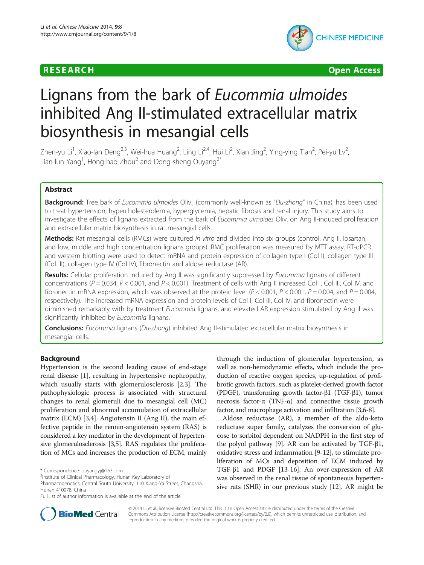

**RESEARCH CHEAR CHEAR CHEAR CHEAR CHEAR CHEAR CHEAR CHEAR CHEAR CHEAR CHEAR CHEAR CHEAR CHEAR CHEAR CHEAR CHEAR** 

# Lignans from the bark of Eucommia ulmoides inhibited Ang II-stimulated extracellular matrix biosynthesis in mesangial cells

Zhen-yu Li<sup>1</sup>, Xiao-lan Deng<sup>2,3</sup>, Wei-hua Huang<sup>2</sup>, Ling Li<sup>2,4</sup>, Hui Li<sup>2</sup>, Xian Jing<sup>2</sup>, Ying-ying Tian<sup>2</sup>, Pei-yu Lv<sup>2</sup> .<br>, Tian-lun Yang<sup>1</sup>, Hong-hao Zhou $^2$  and Dong-sheng Ouyang $^{2^\ast}$ 

# Abstract

Background: Tree bark of Eucommia ulmoides Oliv., (commonly well-known as "Du-zhong" in China), has been used to treat hypertension, hypercholesterolemia, hyperglycemia, hepatic fibrosis and renal injury. This study aims to investigate the effects of lignans extracted from the bark of Eucommia ulmoides Oliv. on Ang II-induced proliferation and extracellular matrix biosynthesis in rat mesangial cells.

Methods: Rat mesangial cells (RMCs) were cultured in vitro and divided into six groups (control, Ang II, losartan, and low, middle and high concentration lignans groups). RMC proliferation was measured by MTT assay. RT-qPCR and western blotting were used to detect mRNA and protein expression of collagen type I (Col I), collagen type III (Col III), collagen type IV (Col IV), fibronectin and aldose reductase (AR).

Results: Cellular proliferation induced by Ang II was significantly suppressed by Eucommia lignans of different concentrations ( $P = 0.034$ ,  $P < 0.001$ , and  $P < 0.001$ ). Treatment of cells with Ang II increased Col I, Col III, Col IV, and fibronectin mRNA expression, which was observed at the protein level ( $P < 0.001$ ,  $P < 0.001$ ,  $P = 0.004$ , and  $P = 0.004$ , respectively). The increased mRNA expression and protein levels of Col I, Col III, Col IV, and fibronectin were diminished remarkably with by treatment Eucommia lignans, and elevated AR expression stimulated by Ang II was significantly inhibited by *Eucommia* lignans.

**Conclusions:** Eucommia lignans (Du-zhong) inhibited Ang Il-stimulated extracellular matrix biosynthesis in mesangial cells.

# Background

Hypertension is the second leading cause of end-stage renal disease [[1](#page-5-0)], resulting in hypertensive nephropathy, which usually starts with glomerulosclerosis [\[2,3](#page-5-0)]. The pathophysiologic process is associated with structural changes to renal glomeruli due to mesangial cell (MC) proliferation and abnormal accumulation of extracellular matrix (ECM) [\[3,4](#page-5-0)]. Angiotensin II (Ang II), the main effective peptide in the rennin-angiotensin system (RAS) is considered a key mediator in the development of hypertensive glomerulosclerosis [[3,5](#page-5-0)]. RAS regulates the proliferation of MCs and increases the production of ECM, mainly

through the induction of glomerular hypertension, as well as non-hemodynamic effects, which include the production of reactive oxygen species, up-regulation of profibrotic growth factors, such as platelet-derived growth factor (PDGF), transforming growth factor-β1 (TGF-β1), tumor necrosis factor-α (TNF-α) and connective tissue growth factor, and macrophage activation and infiltration [\[3,6-8\]](#page-5-0).

Aldose reductase (AR), a member of the aldo-keto reductase super family, catalyzes the conversion of glucose to sorbitol dependent on NADPH in the first step of the polyol pathway [[9\]](#page-5-0). AR can be activated by TGF-β1, oxidative stress and inflammation [\[9-12](#page-5-0)], to stimulate proliferation of MCs and deposition of ECM induced by TGF-β1 and PDGF [[13](#page-5-0)-[16](#page-5-0)]. An over-expression of AR was observed in the renal tissue of spontaneous hypertensive rats (SHR) in our previous study [\[12](#page-5-0)]. AR might be



© 2014 Li et al.; licensee BioMed Central Ltd. This is an Open Access article distributed under the terms of the Creative Commons Attribution License [\(http://creativecommons.org/licenses/by/2.0\)](http://creativecommons.org/licenses/by/2.0), which permits unrestricted use, distribution, and reproduction in any medium, provided the original work is properly credited.

<sup>\*</sup> Correspondence: [ouyangyj@163.com](mailto:ouyangyj@163.com) <sup>2</sup>

<sup>&</sup>lt;sup>2</sup>Institute of Clinical Pharmacology, Hunan Key Laboratory of

Pharmacogenetics, Central South University, 110 Xiang-Ya Street, Changsha, Hunan 410078, China

Full list of author information is available at the end of the article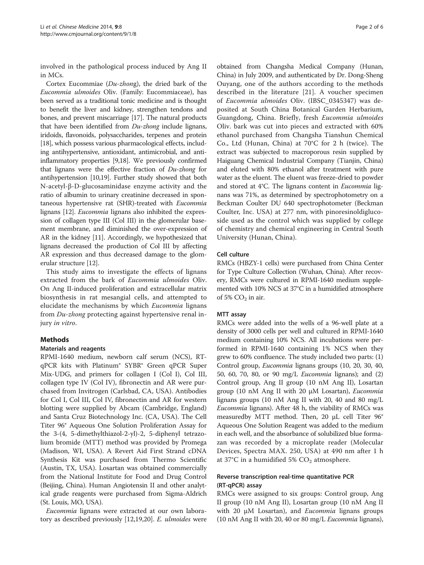<span id="page-1-0"></span>involved in the pathological process induced by Ang II in MCs.

Cortex Eucommiae (Du-zhong), the dried bark of the Eucommia ulmoides Oliv. (Family: Eucommiaceae), has been served as a traditional tonic medicine and is thought to benefit the liver and kidney, strengthen tendons and bones, and prevent miscarriage [[17](#page-5-0)]. The natural products that have been identified from Du-zhong include lignans, iridoids, flavonoids, polysaccharides, terpenes and protein [[18](#page-5-0)], which possess various pharmacological effects, including antihypertensive, antioxidant, antimicrobial, and antiinflammatory properties [\[9,18\]](#page-5-0). We previously confirmed that lignans were the effective fraction of Du-zhong for antihypertension [[10,19\]](#page-5-0). Further study showed that both N-acetyl-β-D-glucosaminidase enzyme activity and the ratio of albumin to urinary creatinine decreased in spontaneous hypertensive rat (SHR)-treated with Eucommia lignans [\[12](#page-5-0)]. *Eucommia* lignans also inhibited the expression of collagen type III (Col III) in the glomerular basement membrane, and diminished the over-expression of AR in the kidney [[11\]](#page-5-0). Accordingly, we hypothesized that lignans decreased the production of Col III by affecting AR expression and thus decreased damage to the glomerular structure [[12](#page-5-0)].

This study aims to investigate the effects of lignans extracted from the bark of Eucommia ulmoides Oliv. On Ang II-induced proliferation and extracellular matrix biosynthesis in rat mesangial cells, and attempted to elucidate the mechanisms by which *Eucommia* lignans from Du-zhong protecting against hypertensive renal injury in vitro.

# Methods

#### Materials and reagents

RPMI-1640 medium, newborn calf serum (NCS), RTqPCR kits with Platinum® SYBR® Green qPCR Super Mix-UDG, and primers for collagen I (Col I), Col III, collagen type IV (Col IV), fibronectin and AR were purchased from Invitrogen (Carlsbad, CA, USA). Antibodies for Col I, Col III, Col IV, fibronectin and AR for western blotting were supplied by Abcam (Cambridge, England) and Santa Cruz Biotechnology Inc. (CA, USA). The Cell Titer 96® Aqueous One Solution Proliferation Assay for the 3-(4, 5-dimethylthiazol-2-yl)-2, 5-diphenyl tetrazolium bromide (MTT) method was provided by Promega (Madison, WI, USA). A Revert Aid First Strand cDNA Synthesis Kit was purchased from Thermo Scientific (Austin, TX, USA). Losartan was obtained commercially from the National Institute for Food and Drug Control (Beijing, China). Human Angiotensin II and other analytical grade reagents were purchased from Sigma-Aldrich (St. Louis, MO, USA).

Eucommia lignans were extracted at our own laboratory as described previously [\[12,19,20\]](#page-5-0). E. ulmoides were

obtained from Changsha Medical Company (Hunan, China) in July 2009, and authenticated by Dr. Dong-Sheng Ouyang, one of the authors according to the methods described in the literature [\[21](#page-5-0)]. A voucher specimen of Eucommia ulmoides Oliv. (IBSC\_0345347) was deposited at South China Botanical Garden Herbarium, Guangdong, China. Briefly, fresh Eucommia ulmoides Oliv. bark was cut into pieces and extracted with 60% ethanol purchased from Changsha Tianshun Chemical Co., Ltd (Hunan, China) at 70°C for 2 h (twice). The extract was subjected to macroporous resin supplied by Haiguang Chemical Industrial Company (Tianjin, China) and eluted with 80% ethanol after treatment with pure water as the eluent. The eluent was freeze-dried to powder and stored at 4°C. The lignans content in Eucommia lignans was 71%, as determined by spectrophotometry on a Beckman Coulter DU 640 spectrophotometer (Beckman Coulter, Inc. USA) at 277 nm, with pinoresinoldiglucoside used as the control which was supplied by college of chemistry and chemical engineering in Central South University (Hunan, China).

# Cell culture

RMCs (HBZY-1 cells) were purchased from China Center for Type Culture Collection (Wuhan, China). After recovery, RMCs were cultured in RPMI-1640 medium supplemented with 10% NCS at 37°C in a humidified atmosphere of 5%  $CO<sub>2</sub>$  in air.

#### MTT assay

RMCs were added into the wells of a 96-well plate at a density of 3000 cells per well and cultured in RPMI-1640 medium containing 10% NCS. All incubations were performed in RPMI-1640 containing 1% NCS when they grew to 60% confluence. The study included two parts: (1) Control group, Eucommia lignans groups (10, 20, 30, 40, 50, 60, 70, 80, or 90 mg/L Eucommia lignans); and (2) Control group, Ang II group (10 nM Ang II), Losartan group (10 nM Ang II with 20 μM Losartan), Eucommia lignans groups (10 nM Ang II with 20, 40 and 80 mg/L Eucommia lignans). After 48 h, the viability of RMCs was measuredby MTT method. Then, 20 μL cell Titer 96® Aqueous One Solution Reagent was added to the medium in each well, and the absorbance of solubilized blue formazan was recorded by a microplate reader (Molecular Devices, Spectra MAX. 250, USA) at 490 nm after 1 h at 37°C in a humidified 5%  $CO<sub>2</sub>$  atmosphere.

# Reverse transcription real-time quantitative PCR (RT-qPCR) assay

RMCs were assigned to six groups: Control group, Ang II group (10 nM Ang II), Losartan group (10 nM Ang II with 20  $\mu$ M Losartan), and *Eucommia* lignans groups (10 nM Ang II with 20, 40 or 80 mg/L Eucommia lignans),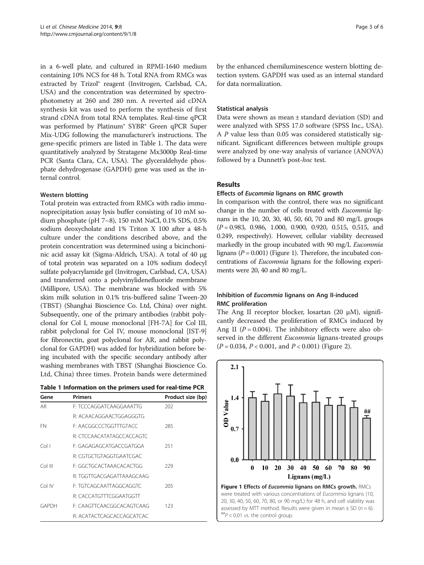in a 6-well plate, and cultured in RPMI-1640 medium containing 10% NCS for 48 h. Total RNA from RMCs was extracted by Trizol® reagent (Invitrogen, Carlsbad, CA, USA) and the concentration was determined by spectrophotometry at 260 and 280 nm. A reverted aid cDNA synthesis kit was used to perform the synthesis of first strand cDNA from total RNA templates. Real-time qPCR was performed by Platinum® SYBR® Green qPCR Super Mix-UDG following the manufacturer's instructions. The gene-specific primers are listed in Table 1. The data were quantitatively analyzed by Stratagene Mx3000p Real-time PCR (Santa Clara, CA, USA). The glyceraldehyde phosphate dehydrogenase (GAPDH) gene was used as the internal control.

# Western blotting

Total protein was extracted from RMCs with radio immunoprecipitation assay lysis buffer consisting of 10 mM sodium phosphate (pH 7–8), 150 mM NaCl, 0.1% SDS, 0.5% sodium deoxycholate and 1% Triton X 100 after a 48-h culture under the conditions described above, and the protein concentration was determined using a bicinchoninic acid assay kit (Sigma-Aldrich, USA). A total of 40 μg of total protein was separated on a 10% sodium dodecyl sulfate polyacrylamide gel (Invitrogen, Carlsbad, CA, USA) and transferred onto a polyvinylidenefluoride membrane (Millipore, USA). The membrane was blocked with 5% skim milk solution in 0.1% tris-buffered saline Tween-20 (TBST) (Shanghai Bioscience Co. Ltd, China) over night. Subsequently, one of the primary antibodies (rabbit polyclonal for Col I, mouse monoclonal [FH-7A] for Col III, rabbit polyclonal for Col IV, mouse monoclonal [IST-9] for fibronectin, goat polyclonal for AR, and rabbit polyclonal for GAPDH) was added for hybridization before being incubated with the specific secondary antibody after washing membranes with TBST (Shanghai Bioscience Co. Ltd, China) three times. Protein bands were determined

|  |  | Table 1 Information on the primers used for real-time PCR |  |  |  |  |  |  |  |
|--|--|-----------------------------------------------------------|--|--|--|--|--|--|--|
|--|--|-----------------------------------------------------------|--|--|--|--|--|--|--|

| Gene      | <b>Primers</b>            | Product size (bp) |  |
|-----------|---------------------------|-------------------|--|
| AR        | F: TCCCAGGATCAAGGAAATTG   | 202               |  |
|           | R: ACAACAGGAACTGGAGGGTG   |                   |  |
| <b>FN</b> | F' AACGGCCCTGGTTTGTACC    | 285               |  |
|           | R: CTCCAACATATAGCCACCAGTC |                   |  |
| $\bigcap$ | E: GAGAGAGCATGACCGATGGA   | 251               |  |
|           | R: CGTGCTGTAGGTGAATCGAC   |                   |  |
| Col III   | F: GGCTGCACTAAACACACTGG   | 229               |  |
|           | R: TGGTTGACGAGATTAAAGCAAG |                   |  |
| Col IV    | E: TGTCAGCAATTAGGCAGGTC   | 205               |  |
|           | R: CACCATGTTTCGGAATGGTT   |                   |  |
| GAPDH     | E: CAAGTTCAACGGCACAGTCAAG | 123               |  |
|           | R: ACATACTCAGCACCAGCATCAC |                   |  |

by the enhanced chemiluminescence western blotting detection system. GAPDH was used as an internal standard for data normalization.

#### Statistical analysis

Data were shown as mean  $\pm$  standard deviation (SD) and were analyzed with SPSS 17.0 software (SPSS Inc., USA). A P value less than 0.05 was considered statistically significant. Significant differences between multiple groups were analyzed by one-way analysis of variance (ANOVA) followed by a Dunnett's post-hoc test.

# Results

#### Effects of Eucommia lignans on RMC growth

In comparison with the control, there was no significant change in the number of cells treated with Eucommia lignans in the 10, 20, 30, 40, 50, 60, 70 and 80 mg/L groups  $(P = 0.983, 0.986, 1.000, 0.900, 0.920, 0.515, 0.515, and$ 0.249, respectively). However, cellular viability decreased markedly in the group incubated with 90 mg/L Eucommia lignans ( $P = 0.001$ ) (Figure 1). Therefore, the incubated concentrations of Eucommia lignans for the following experiments were 20, 40 and 80 mg/L.

# Inhibition of Eucommia lignans on Ang II-induced RMC proliferation

The Ang II receptor blocker, losartan  $(20 \mu M)$ , significantly decreased the proliferation of RMCs induced by Ang II ( $P = 0.004$ ). The inhibitory effects were also observed in the different *Eucommia* lignans-treated groups  $(P = 0.034, P < 0.001,$  and  $P < 0.001$ ) (Figure [2\)](#page-3-0).

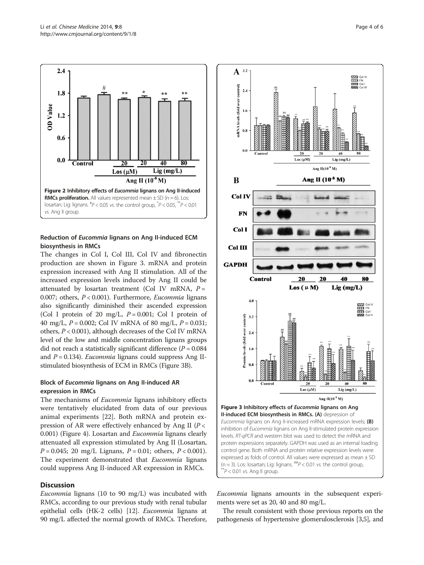<span id="page-3-0"></span>

Figure 2 Inhibitory effects of Eucommia lignans on Ang II-induced **RMCs proliferation.** All values represented mean  $\pm$  SD (n = 6). Los: losartan; Lig: lignans.  $^{^\#}\!P$  < 0.05 *vs*. the control group,  $^{^\ast}\!P$  < 0.05,  $^{^{**}\!P}$  < 0.01 vs. Ang II group.

# Reduction of Eucommia lignans on Ang II-induced ECM biosynthesis in RMCs

The changes in Col I, Col III, Col IV and fibronectin production are shown in Figure 3. mRNA and protein expression increased with Ang II stimulation. All of the increased expression levels induced by Ang II could be attenuated by losartan treatment (Col IV mRNA,  $P =$ 0.007; others,  $P < 0.001$ ). Furthermore, *Eucommia* lignans also significantly diminished their ascended expression (Col I protein of 20 mg/L,  $P = 0.001$ ; Col I protein of 40 mg/L,  $P = 0.002$ ; Col IV mRNA of 80 mg/L,  $P = 0.031$ ; others, P < 0.001), although decreases of the Col IV mRNA level of the low and middle concentration lignans groups did not reach a statistically significant difference ( $P = 0.084$ ) and  $P = 0.134$ ). *Eucommia* lignans could suppress Ang IIstimulated biosynthesis of ECM in RMCs (Figure 3B).

# Block of Eucommia lignans on Ang II-induced AR expression in RMCs

The mechanisms of *Eucommia* lignans inhibitory effects were tentatively elucidated from data of our previous animal experiments [[22\]](#page-5-0). Both mRNA and protein expression of AR were effectively enhanced by Ang II ( $P \lt \theta$ ) 0.001) (Figure [4](#page-4-0)). Losartan and *Eucommia* lignans clearly attenuated all expression stimulated by Ang II (Losartan,  $P = 0.045$ ; 20 mg/L Lignans,  $P = 0.01$ ; others,  $P < 0.001$ ). The experiment demonstrated that Eucommia lignans could suppress Ang II-induced AR expression in RMCs.

# Discussion

Eucommia lignans (10 to 90 mg/L) was incubated with RMCs, according to our previous study with renal tubular epithelial cells (HK-2 cells) [[12](#page-5-0)]. Eucommia lignans at 90 mg/L affected the normal growth of RMCs. Therefore,



Eucommia lignans amounts in the subsequent experiments were set as 20, 40 and 80 mg/L.

The result consistent with those previous reports on the pathogenesis of hypertensive glomerulosclerosis [[3,5](#page-5-0)], and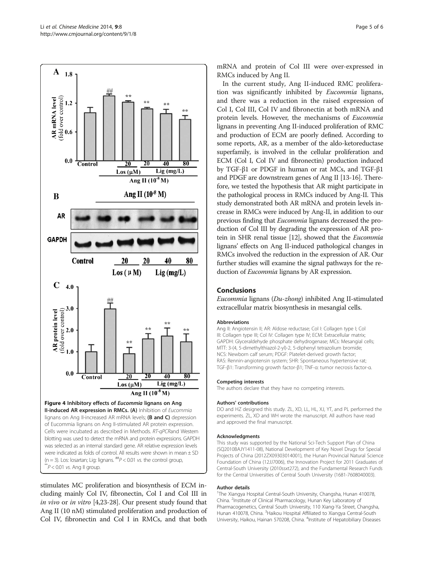<span id="page-4-0"></span>A  $1.8$ 

 $\frac{1}{2}$ <br>(fold over control) **AR** mRNA level  $0.0$  $\overline{80}$  $\overline{20}$ 40  $\overline{\text{Control}}$ 20  $Lig$  (mg/L)  $\text{Los }(\mu M)$ Ang II  $(10^{-8} M)$ Ang II  $(10^8 M)$  $\bf{B}$ **AR GAPDH** 20 40 80 **Control** 20  $\text{Los } (\mu \text{ M})$  $Lig(mg/L)$  $\mathbf C$ 4.0  $\begin{array}{c} \begin{array}{c} \begin{array}{c} \hline \text{co}} \end{array} & \text{3.0} \\ \hline \text{FeO} & \text{2.0} \\ \hline \end{array} & \begin{array}{c} \text{3.0} \\ \hline \text{O} & \text{1.0} \end{array} \end{array}$  $3.0$ **AR** protein level  $1.0$  $0.0$ 20 40 80 Control  $\overline{20}$ Los  $(\mu M)$  $Lig$  (mg/ $L$ ) Ang II  $(10^8 M)$ Figure 4 Inhibitory effects of Eucommia lignans on Ang II-induced AR expression in RMCs. (A) Inhibition of Eucommia lignans on Ang II-increased AR mRNA levels; (B and C) depression of Eucommia lignans on Ang II-stimulated AR protein expression. Cells were incubated as described in [Methods.](#page-1-0) RT-qPCRand Western blotting was used to detect the mRNA and protein expressions. GAPDH was selected as an internal standard gene. AR relative expression levels were indicated as folds of control. All results were shown in mean ± SD ( $n = 3$ ). Los: losartan; Lig: lignans.  $^{tt}P < 0.01$  vs. the control group,  $*P$  < 0.01 vs. Ang II group.

stimulates MC proliferation and biosynthesis of ECM including mainly Col IV, fibronectin, Col I and Col III in in vivo or in vitro [[4,23](#page-5-0)-[28](#page-5-0)]. Our present study found that Ang II (10 nM) stimulated proliferation and production of Col IV, fibronectin and Col I in RMCs, and that both

mRNA and protein of Col III were over-expressed in RMCs induced by Ang II.

In the current study, Ang II-induced RMC proliferation was significantly inhibited by *Eucommia* lignans, and there was a reduction in the raised expression of Col I, Col III, Col IV and fibronectin at both mRNA and protein levels. However, the mechanisms of Eucommia lignans in preventing Ang II-induced proliferation of RMC and production of ECM are poorly defined. According to some reports, AR, as a member of the aldo-ketoreductase superfamily, is involved in the cellular proliferation and ECM (Col I, Col IV and fibronectin) production induced by TGF-β1 or PDGF in human or rat MCs, and TGF-β1 and PDGF are downstream genes of Ang II [\[13-16\]](#page-5-0). Therefore, we tested the hypothesis that AR might participate in the pathological process in RMCs induced by Ang-II. This study demonstrated both AR mRNA and protein levels increase in RMCs were induced by Ang-II, in addition to our previous finding that Eucommia lignans decreased the production of Col III by degrading the expression of AR protein in SHR renal tissue [\[12\]](#page-5-0), showed that the Eucommia lignans' effects on Ang II-induced pathological changes in RMCs involved the reduction in the expression of AR. Our further studies will examine the signal pathways for the reduction of *Eucommia* lignans by AR expression.

# Conclusions

Eucommia lignans (Du-zhong) inhibited Ang II-stimulated extracellular matrix biosynthesis in mesangial cells.

#### Abbreviations

Ang II: Angiotensin II; AR: Aldose reductase; Col I: Collagen type I; Col III: Collagen type III; Col IV: Collagen type IV; ECM: Extracellular matrix; GAPDH: Glyceraldehyde phosphate dehydrogenase; MCs: Mesangial cells; MTT: 3-(4, 5-dimethylthiazol-2-yl)-2, 5-diphenyl tetrazolium bromide; NCS: Newborn calf serum; PDGF: Platelet-derived growth factor; RAS: Rennin-angiotensin system; SHR: Spontaneous hypertensive rat; TGF-β1: Transforming growth factor-β1; TNF-α: tumor necrosis factor-α.

#### Competing interests

The authors declare that they have no competing interests.

#### Authors' contributions

DO and HZ designed this study. ZL, XD, LL, HL, XJ, YT, and PL performed the experiments. ZL, XD and WH wrote the manuscript. All authors have read and approved the final manuscript.

#### Acknowledgments

This study was supported by the National Sci-Tech Support Plan of China (SQ2010BAJY1411-08), National Development of Key Novel Drugs for Special Projects of China (2012ZX09303014001), the Hunan Provincial Natural Science Foundation of China (12JJ7006), the Innovation Project for 2011 Graduates of Central-South University (2010ssxt272), and the Fundamental Research Funds for the Central Universities of Central South University (1681-7608040003).

#### Author details

<sup>1</sup>The Xiangya Hospital Central-South University, Changsha, Hunan 410078 China. <sup>2</sup>Institute of Clinical Pharmacology, Hunan Key Laboratory of Pharmacogenetics, Central South University, 110 Xiang-Ya Street, Changsha, Hunan 410078, China. <sup>3</sup> Haikou Hospital Affiliated to Xiangya Central-South University, Haikou, Hainan 570208, China. <sup>4</sup>Institute of Hepatobiliary Diseases